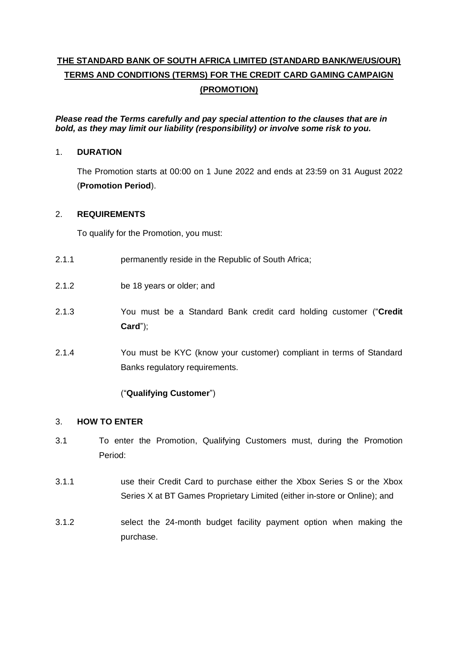# **THE STANDARD BANK OF SOUTH AFRICA LIMITED (STANDARD BANK/WE/US/OUR) TERMS AND CONDITIONS (TERMS) FOR THE CREDIT CARD GAMING CAMPAIGN (PROMOTION)**

*Please read the Terms carefully and pay special attention to the clauses that are in bold, as they may limit our liability (responsibility) or involve some risk to you.*

## 1. **DURATION**

The Promotion starts at 00:00 on 1 June 2022 and ends at 23:59 on 31 August 2022 (**Promotion Period**).

## <span id="page-0-1"></span>2. **REQUIREMENTS**

To qualify for the Promotion, you must:

- 2.1.1 permanently reside in the Republic of South Africa;
- 2.1.2 be 18 years or older; and
- 2.1.3 You must be a Standard Bank credit card holding customer ("**Credit Card**");
- 2.1.4 You must be KYC (know your customer) compliant in terms of Standard Banks regulatory requirements.

## ("**Qualifying Customer**")

## <span id="page-0-2"></span>3. **HOW TO ENTER**

- <span id="page-0-0"></span>3.1 To enter the Promotion, Qualifying Customers must, during the Promotion Period:
- 3.1.1 use their Credit Card to purchase either the Xbox Series S or the Xbox Series X at BT Games Proprietary Limited (either in-store or Online); and
- 3.1.2 select the 24-month budget facility payment option when making the purchase.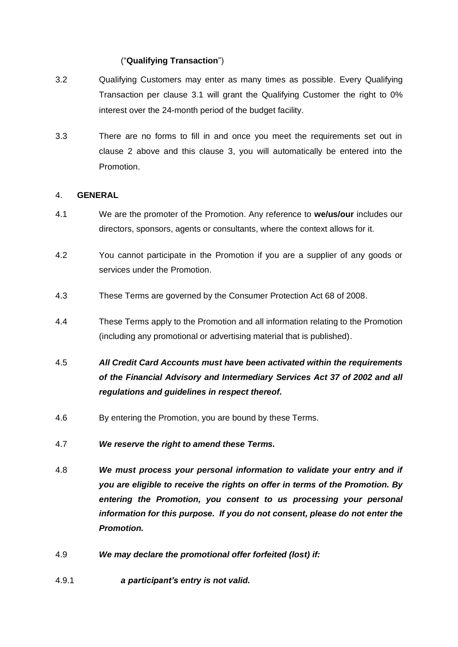## ("**Qualifying Transaction**")

- 3.2 Qualifying Customers may enter as many times as possible. Every Qualifying Transaction per clause [3.1](#page-0-0) will grant the Qualifying Customer the right to 0% interest over the 24-month period of the budget facility.
- 3.3 There are no forms to fill in and once you meet the requirements set out in clause [2](#page-0-1) above and this clause [3,](#page-0-2) you will automatically be entered into the Promotion.

#### 4. **GENERAL**

- 4.1 We are the promoter of the Promotion. Any reference to **we/us/our** includes our directors, sponsors, agents or consultants, where the context allows for it.
- 4.2 You cannot participate in the Promotion if you are a supplier of any goods or services under the Promotion.
- 4.3 These Terms are governed by the Consumer Protection Act 68 of 2008.
- 4.4 These Terms apply to the Promotion and all information relating to the Promotion (including any promotional or advertising material that is published).
- 4.5 *All Credit Card Accounts must have been activated within the requirements of the Financial Advisory and Intermediary Services Act 37 of 2002 and all regulations and guidelines in respect thereof.*
- 4.6 By entering the Promotion, you are bound by these Terms.
- 4.7 *We reserve the right to amend these Terms.*
- 4.8 *We must process your personal information to validate your entry and if you are eligible to receive the rights on offer in terms of the Promotion. By entering the Promotion, you consent to us processing your personal information for this purpose. If you do not consent, please do not enter the Promotion.*
- 4.9 *We may declare the promotional offer forfeited (lost) if:*
- 4.9.1 *a participant's entry is not valid.*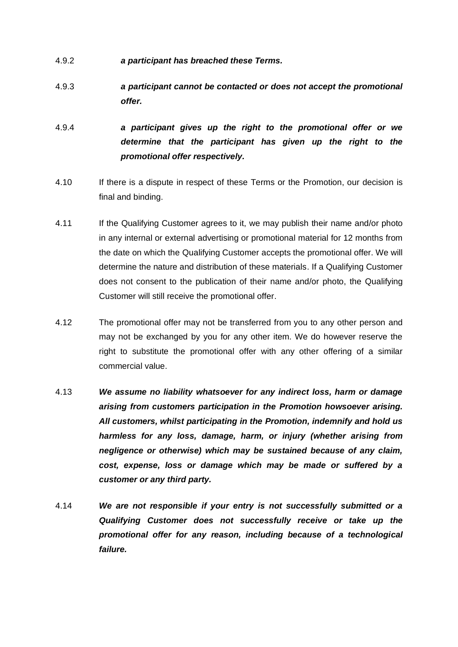- 4.9.2 *a participant has breached these Terms.*
- 4.9.3 *a participant cannot be contacted or does not accept the promotional offer.*
- 4.9.4 *a participant gives up the right to the promotional offer or we determine that the participant has given up the right to the promotional offer respectively.*
- 4.10 If there is a dispute in respect of these Terms or the Promotion, our decision is final and binding.
- 4.11 If the Qualifying Customer agrees to it, we may publish their name and/or photo in any internal or external advertising or promotional material for 12 months from the date on which the Qualifying Customer accepts the promotional offer. We will determine the nature and distribution of these materials. If a Qualifying Customer does not consent to the publication of their name and/or photo, the Qualifying Customer will still receive the promotional offer.
- 4.12 The promotional offer may not be transferred from you to any other person and may not be exchanged by you for any other item. We do however reserve the right to substitute the promotional offer with any other offering of a similar commercial value.
- 4.13 *We assume no liability whatsoever for any indirect loss, harm or damage arising from customers participation in the Promotion howsoever arising. All customers, whilst participating in the Promotion, indemnify and hold us harmless for any loss, damage, harm, or injury (whether arising from negligence or otherwise) which may be sustained because of any claim, cost, expense, loss or damage which may be made or suffered by a customer or any third party.*
- 4.14 *We are not responsible if your entry is not successfully submitted or a Qualifying Customer does not successfully receive or take up the promotional offer for any reason, including because of a technological failure.*